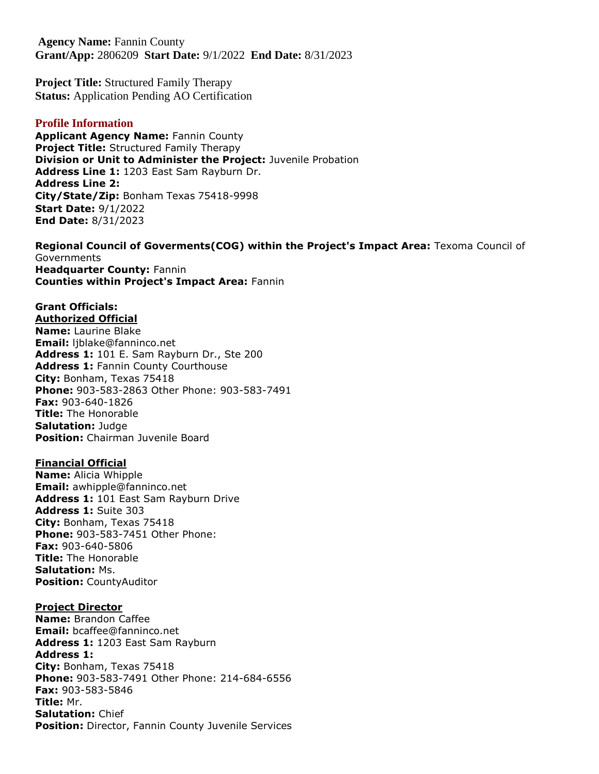**Agency Name:** Fannin County **Grant/App:** 2806209 **Start Date:** 9/1/2022 **End Date:** 8/31/2023

**Project Title:** Structured Family Therapy **Status:** Application Pending AO Certification

#### **Profile Information**

**Applicant Agency Name: Fannin County Project Title:** Structured Family Therapy **Division or Unit to Administer the Project:** Juvenile Probation **Address Line 1:** 1203 East Sam Rayburn Dr. **Address Line 2: City/State/Zip:** Bonham Texas 75418-9998 **Start Date:** 9/1/2022 **End Date:** 8/31/2023

**Regional Council of Goverments(COG) within the Project's Impact Area:** Texoma Council of **Governments Headquarter County:** Fannin **Counties within Project's Impact Area:** Fannin

#### **Grant Officials: Authorized Official**

**Name:** Laurine Blake **Email:** ljblake@fanninco.net **Address 1:** 101 E. Sam Rayburn Dr., Ste 200 Address 1: Fannin County Courthouse **City:** Bonham, Texas 75418 **Phone:** 903-583-2863 Other Phone: 903-583-7491 **Fax:** 903-640-1826 **Title:** The Honorable **Salutation:** Judge **Position:** Chairman Juvenile Board

### **Financial Official**

**Name:** Alicia Whipple **Email:** awhipple@fanninco.net **Address 1:** 101 East Sam Rayburn Drive **Address 1:** Suite 303 **City:** Bonham, Texas 75418 **Phone:** 903-583-7451 Other Phone: **Fax:** 903-640-5806 **Title:** The Honorable **Salutation:** Ms. **Position:** CountyAuditor

#### **Project Director**

**Name:** Brandon Caffee **Email:** bcaffee@fanninco.net **Address 1:** 1203 East Sam Rayburn **Address 1: City:** Bonham, Texas 75418 **Phone:** 903-583-7491 Other Phone: 214-684-6556 **Fax:** 903-583-5846 **Title:** Mr. **Salutation:** Chief **Position:** Director, Fannin County Juvenile Services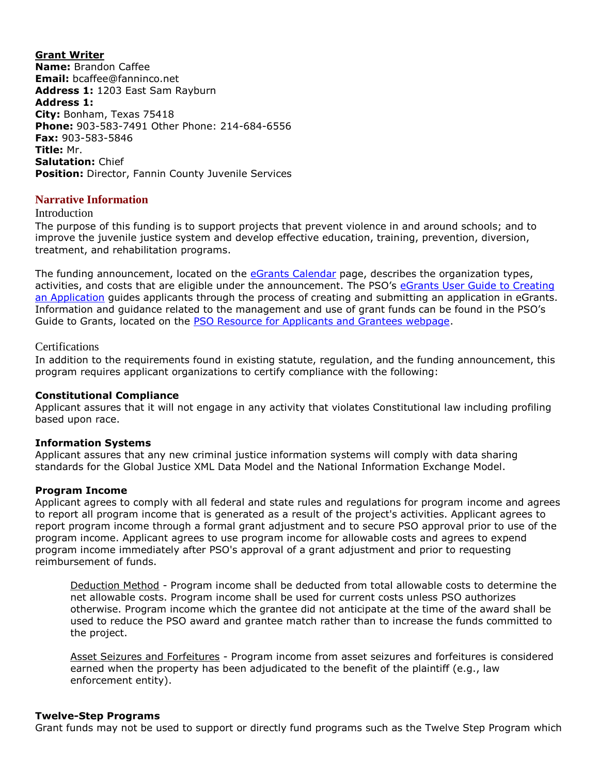**Grant Writer Name:** Brandon Caffee **Email:** bcaffee@fanninco.net **Address 1:** 1203 East Sam Rayburn **Address 1: City:** Bonham, Texas 75418 **Phone:** 903-583-7491 Other Phone: 214-684-6556 **Fax:** 903-583-5846 **Title:** Mr. **Salutation:** Chief **Position:** Director, Fannin County Juvenile Services

### **Narrative Information**

#### Introduction

The purpose of this funding is to support projects that prevent violence in and around schools; and to improve the juvenile justice system and develop effective education, training, prevention, diversion, treatment, and rehabilitation programs.

The funding announcement, located on the [eGrants Calendar](https://egrants.gov.texas.gov/fundopp.aspx) page, describes the organization types, activities, and costs that are eligible under the announcement. The PSO's eGrants User Guide to Creating [an Application](file:///C:/Users/sdavidson/AppData/Local/fundopp.aspx%3fname=eGrants_Guide_to_Creating_an_Application_12.2020.pdf&type=2) guides applicants through the process of creating and submitting an application in eGrants. Information and guidance related to the management and use of grant funds can be found in the PSO's Guide to Grants, located on the [PSO Resource for Applicants and Grantees webpage.](https://gov.texas.gov/organization/cjd/resources)

#### Certifications

In addition to the requirements found in existing statute, regulation, and the funding announcement, this program requires applicant organizations to certify compliance with the following:

#### **Constitutional Compliance**

Applicant assures that it will not engage in any activity that violates Constitutional law including profiling based upon race.

#### **Information Systems**

Applicant assures that any new criminal justice information systems will comply with data sharing standards for the Global Justice XML Data Model and the National Information Exchange Model.

#### **Program Income**

Applicant agrees to comply with all federal and state rules and regulations for program income and agrees to report all program income that is generated as a result of the project's activities. Applicant agrees to report program income through a formal grant adjustment and to secure PSO approval prior to use of the program income. Applicant agrees to use program income for allowable costs and agrees to expend program income immediately after PSO's approval of a grant adjustment and prior to requesting reimbursement of funds.

Deduction Method - Program income shall be deducted from total allowable costs to determine the net allowable costs. Program income shall be used for current costs unless PSO authorizes otherwise. Program income which the grantee did not anticipate at the time of the award shall be used to reduce the PSO award and grantee match rather than to increase the funds committed to the project.

Asset Seizures and Forfeitures - Program income from asset seizures and forfeitures is considered earned when the property has been adjudicated to the benefit of the plaintiff (e.g., law enforcement entity).

#### **Twelve-Step Programs**

Grant funds may not be used to support or directly fund programs such as the Twelve Step Program which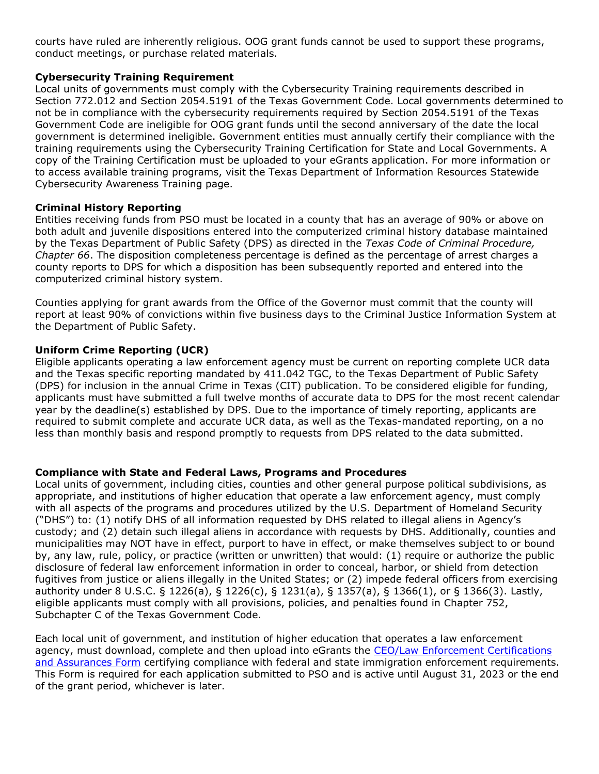courts have ruled are inherently religious. OOG grant funds cannot be used to support these programs, conduct meetings, or purchase related materials.

### **Cybersecurity Training Requirement**

Local units of governments must comply with the Cybersecurity Training requirements described in Section 772.012 and Section 2054.5191 of the Texas Government Code. Local governments determined to not be in compliance with the cybersecurity requirements required by Section 2054.5191 of the Texas Government Code are ineligible for OOG grant funds until the second anniversary of the date the local government is determined ineligible. Government entities must annually certify their compliance with the training requirements using the Cybersecurity Training Certification for State and Local Governments. A copy of the Training Certification must be uploaded to your eGrants application. For more information or to access available training programs, visit the Texas Department of Information Resources Statewide Cybersecurity Awareness Training page.

## **Criminal History Reporting**

Entities receiving funds from PSO must be located in a county that has an average of 90% or above on both adult and juvenile dispositions entered into the computerized criminal history database maintained by the Texas Department of Public Safety (DPS) as directed in the *Texas Code of Criminal Procedure, Chapter 66*. The disposition completeness percentage is defined as the percentage of arrest charges a county reports to DPS for which a disposition has been subsequently reported and entered into the computerized criminal history system.

Counties applying for grant awards from the Office of the Governor must commit that the county will report at least 90% of convictions within five business days to the Criminal Justice Information System at the Department of Public Safety.

### **Uniform Crime Reporting (UCR)**

Eligible applicants operating a law enforcement agency must be current on reporting complete UCR data and the Texas specific reporting mandated by 411.042 TGC, to the Texas Department of Public Safety (DPS) for inclusion in the annual Crime in Texas (CIT) publication. To be considered eligible for funding, applicants must have submitted a full twelve months of accurate data to DPS for the most recent calendar year by the deadline(s) established by DPS. Due to the importance of timely reporting, applicants are required to submit complete and accurate UCR data, as well as the Texas-mandated reporting, on a no less than monthly basis and respond promptly to requests from DPS related to the data submitted.

#### **Compliance with State and Federal Laws, Programs and Procedures**

Local units of government, including cities, counties and other general purpose political subdivisions, as appropriate, and institutions of higher education that operate a law enforcement agency, must comply with all aspects of the programs and procedures utilized by the U.S. Department of Homeland Security ("DHS") to: (1) notify DHS of all information requested by DHS related to illegal aliens in Agency's custody; and (2) detain such illegal aliens in accordance with requests by DHS. Additionally, counties and municipalities may NOT have in effect, purport to have in effect, or make themselves subject to or bound by, any law, rule, policy, or practice (written or unwritten) that would: (1) require or authorize the public disclosure of federal law enforcement information in order to conceal, harbor, or shield from detection fugitives from justice or aliens illegally in the United States; or (2) impede federal officers from exercising authority under 8 U.S.C. § 1226(a), § 1226(c), § 1231(a), § 1357(a), § 1366(1), or § 1366(3). Lastly, eligible applicants must comply with all provisions, policies, and penalties found in Chapter 752, Subchapter C of the Texas Government Code.

Each local unit of government, and institution of higher education that operates a law enforcement agency, must download, complete and then upload into eGrants the CEO/Law Enforcement Certifications [and Assurances Form](file:///C:/Users/sdavidson/AppData/Local/fundopp.aspx%3fname=CEO-LE_Cert-Assurances_Form-Blank.pdf&type=2) certifying compliance with federal and state immigration enforcement requirements. This Form is required for each application submitted to PSO and is active until August 31, 2023 or the end of the grant period, whichever is later.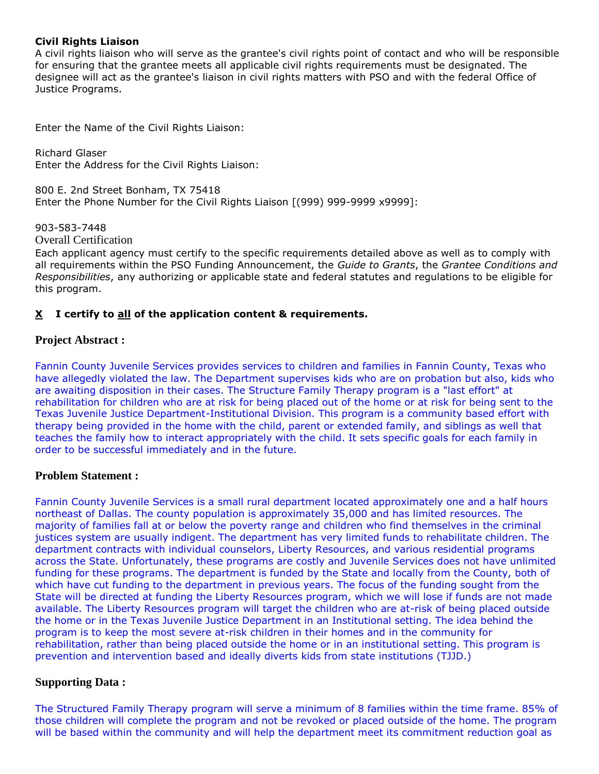### **Civil Rights Liaison**

A civil rights liaison who will serve as the grantee's civil rights point of contact and who will be responsible for ensuring that the grantee meets all applicable civil rights requirements must be designated. The designee will act as the grantee's liaison in civil rights matters with PSO and with the federal Office of Justice Programs.

Enter the Name of the Civil Rights Liaison:

Richard Glaser Enter the Address for the Civil Rights Liaison:

800 E. 2nd Street Bonham, TX 75418 Enter the Phone Number for the Civil Rights Liaison [(999) 999-9999 x9999]:

903-583-7448

Overall Certification

Each applicant agency must certify to the specific requirements detailed above as well as to comply with all requirements within the PSO Funding Announcement, the *Guide to Grants*, the *Grantee Conditions and Responsibilities*, any authorizing or applicable state and federal statutes and regulations to be eligible for this program.

## **X I certify to all of the application content & requirements.**

### **Project Abstract :**

Fannin County Juvenile Services provides services to children and families in Fannin County, Texas who have allegedly violated the law. The Department supervises kids who are on probation but also, kids who are awaiting disposition in their cases. The Structure Family Therapy program is a "last effort" at rehabilitation for children who are at risk for being placed out of the home or at risk for being sent to the Texas Juvenile Justice Department-Institutional Division. This program is a community based effort with therapy being provided in the home with the child, parent or extended family, and siblings as well that teaches the family how to interact appropriately with the child. It sets specific goals for each family in order to be successful immediately and in the future.

#### **Problem Statement :**

Fannin County Juvenile Services is a small rural department located approximately one and a half hours northeast of Dallas. The county population is approximately 35,000 and has limited resources. The majority of families fall at or below the poverty range and children who find themselves in the criminal justices system are usually indigent. The department has very limited funds to rehabilitate children. The department contracts with individual counselors, Liberty Resources, and various residential programs across the State. Unfortunately, these programs are costly and Juvenile Services does not have unlimited funding for these programs. The department is funded by the State and locally from the County, both of which have cut funding to the department in previous years. The focus of the funding sought from the State will be directed at funding the Liberty Resources program, which we will lose if funds are not made available. The Liberty Resources program will target the children who are at-risk of being placed outside the home or in the Texas Juvenile Justice Department in an Institutional setting. The idea behind the program is to keep the most severe at-risk children in their homes and in the community for rehabilitation, rather than being placed outside the home or in an institutional setting. This program is prevention and intervention based and ideally diverts kids from state institutions (TJJD.)

## **Supporting Data :**

The Structured Family Therapy program will serve a minimum of 8 families within the time frame. 85% of those children will complete the program and not be revoked or placed outside of the home. The program will be based within the community and will help the department meet its commitment reduction goal as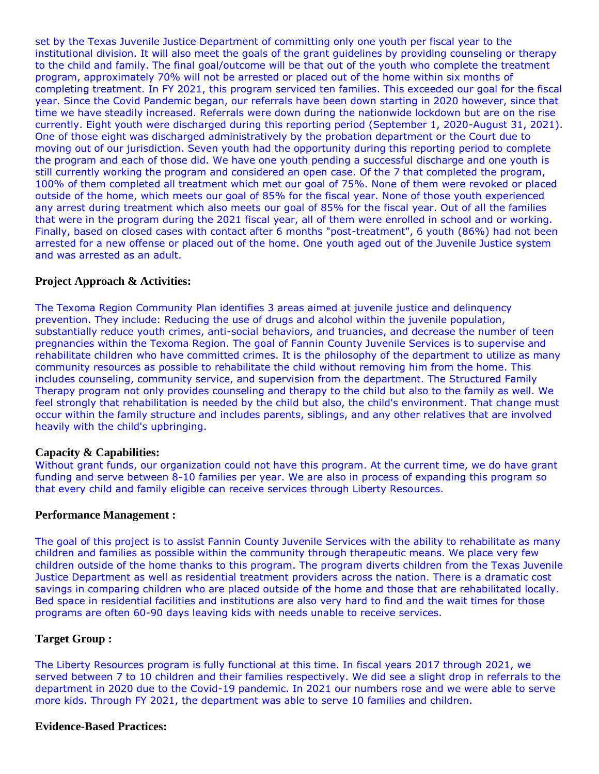set by the Texas Juvenile Justice Department of committing only one youth per fiscal year to the institutional division. It will also meet the goals of the grant guidelines by providing counseling or therapy to the child and family. The final goal/outcome will be that out of the youth who complete the treatment program, approximately 70% will not be arrested or placed out of the home within six months of completing treatment. In FY 2021, this program serviced ten families. This exceeded our goal for the fiscal year. Since the Covid Pandemic began, our referrals have been down starting in 2020 however, since that time we have steadily increased. Referrals were down during the nationwide lockdown but are on the rise currently. Eight youth were discharged during this reporting period (September 1, 2020-August 31, 2021). One of those eight was discharged administratively by the probation department or the Court due to moving out of our jurisdiction. Seven youth had the opportunity during this reporting period to complete the program and each of those did. We have one youth pending a successful discharge and one youth is still currently working the program and considered an open case. Of the 7 that completed the program, 100% of them completed all treatment which met our goal of 75%. None of them were revoked or placed outside of the home, which meets our goal of 85% for the fiscal year. None of those youth experienced any arrest during treatment which also meets our goal of 85% for the fiscal year. Out of all the families that were in the program during the 2021 fiscal year, all of them were enrolled in school and or working. Finally, based on closed cases with contact after 6 months "post-treatment", 6 youth (86%) had not been arrested for a new offense or placed out of the home. One youth aged out of the Juvenile Justice system and was arrested as an adult.

#### **Project Approach & Activities:**

The Texoma Region Community Plan identifies 3 areas aimed at juvenile justice and delinquency prevention. They include: Reducing the use of drugs and alcohol within the juvenile population, substantially reduce youth crimes, anti-social behaviors, and truancies, and decrease the number of teen pregnancies within the Texoma Region. The goal of Fannin County Juvenile Services is to supervise and rehabilitate children who have committed crimes. It is the philosophy of the department to utilize as many community resources as possible to rehabilitate the child without removing him from the home. This includes counseling, community service, and supervision from the department. The Structured Family Therapy program not only provides counseling and therapy to the child but also to the family as well. We feel strongly that rehabilitation is needed by the child but also, the child's environment. That change must occur within the family structure and includes parents, siblings, and any other relatives that are involved heavily with the child's upbringing.

#### **Capacity & Capabilities:**

Without grant funds, our organization could not have this program. At the current time, we do have grant funding and serve between 8-10 families per year. We are also in process of expanding this program so that every child and family eligible can receive services through Liberty Resources.

#### **Performance Management :**

The goal of this project is to assist Fannin County Juvenile Services with the ability to rehabilitate as many children and families as possible within the community through therapeutic means. We place very few children outside of the home thanks to this program. The program diverts children from the Texas Juvenile Justice Department as well as residential treatment providers across the nation. There is a dramatic cost savings in comparing children who are placed outside of the home and those that are rehabilitated locally. Bed space in residential facilities and institutions are also very hard to find and the wait times for those programs are often 60-90 days leaving kids with needs unable to receive services.

#### **Target Group :**

The Liberty Resources program is fully functional at this time. In fiscal years 2017 through 2021, we served between 7 to 10 children and their families respectively. We did see a slight drop in referrals to the department in 2020 due to the Covid-19 pandemic. In 2021 our numbers rose and we were able to serve more kids. Through FY 2021, the department was able to serve 10 families and children.

### **Evidence-Based Practices:**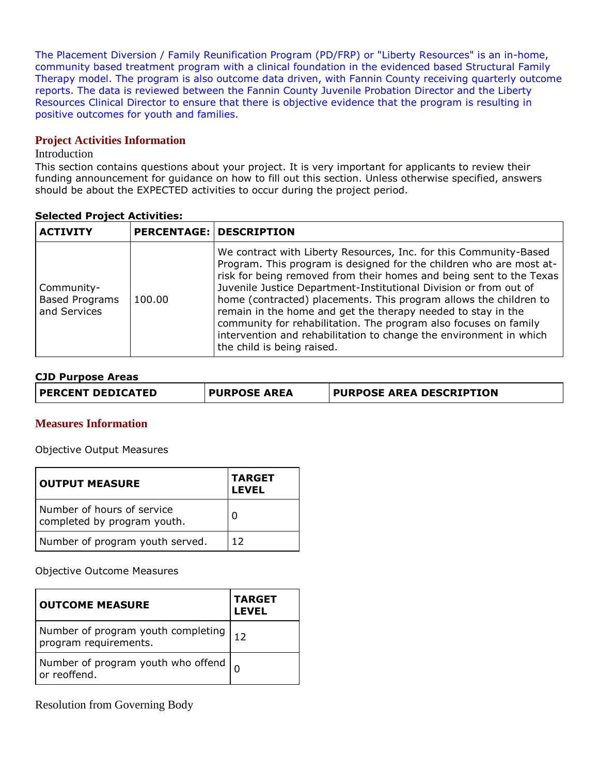The Placement Diversion / Family Reunification Program (PD/FRP) or "Liberty Resources" is an in-home, community based treatment program with a clinical foundation in the evidenced based Structural Family Therapy model. The program is also outcome data driven, with Fannin County receiving quarterly outcome reports. The data is reviewed between the Fannin County Juvenile Probation Director and the Liberty Resources Clinical Director to ensure that there is objective evidence that the program is resulting in positive outcomes for youth and families.

## **Project Activities Information**

### Introduction

This section contains questions about your project. It is very important for applicants to review their funding announcement for guidance on how to fill out this section. Unless otherwise specified, answers should be about the EXPECTED activities to occur during the project period.

## **Selected Project Activities:**

| <b>ACTIVITY</b>                                     |        | <b>PERCENTAGE: DESCRIPTION</b>                                                                                                                                                                                                                                                                                                                                                                                                                                                                                                                                                                    |
|-----------------------------------------------------|--------|---------------------------------------------------------------------------------------------------------------------------------------------------------------------------------------------------------------------------------------------------------------------------------------------------------------------------------------------------------------------------------------------------------------------------------------------------------------------------------------------------------------------------------------------------------------------------------------------------|
| Community-<br><b>Based Programs</b><br>and Services | 100.00 | We contract with Liberty Resources, Inc. for this Community-Based<br>Program. This program is designed for the children who are most at-<br>risk for being removed from their homes and being sent to the Texas<br>Juvenile Justice Department-Institutional Division or from out of<br>home (contracted) placements. This program allows the children to<br>remain in the home and get the therapy needed to stay in the<br>community for rehabilitation. The program also focuses on family<br>intervention and rehabilitation to change the environment in which<br>the child is being raised. |

### **CJD Purpose Areas**

| PERCENT DEDICATED | <b>PURPOSE AREA</b> | <b>PURPOSE AREA DESCRIPTION</b> |
|-------------------|---------------------|---------------------------------|
|-------------------|---------------------|---------------------------------|

#### **Measures Information**

Objective Output Measures

| <b>OUTPUT MEASURE</b>                                     | <b>TARGET</b><br><b>LEVEL</b> |
|-----------------------------------------------------------|-------------------------------|
| Number of hours of service<br>completed by program youth. | 0                             |
| Number of program youth served.                           | 12                            |

Objective Outcome Measures

| <b>OUTCOME MEASURE</b>                                         | <b>TARGET</b><br><b>LEVEL</b> |
|----------------------------------------------------------------|-------------------------------|
| Number of program youth completing<br>program requirements.    | 12                            |
| Number of program youth who offend $\vert_{0}$<br>or reoffend. |                               |

Resolution from Governing Body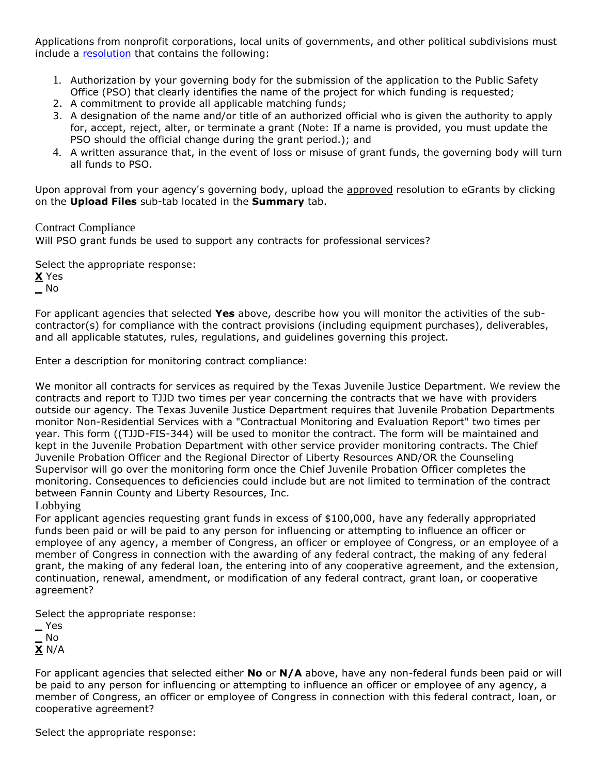Applications from nonprofit corporations, local units of governments, and other political subdivisions must include a [resolution](file:///C:/Users/sdavidson/AppData/Local/FileDirectory/OOG_Sample_Resolution.doc) that contains the following:

- 1. Authorization by your governing body for the submission of the application to the Public Safety Office (PSO) that clearly identifies the name of the project for which funding is requested;
- 2. A commitment to provide all applicable matching funds;
- 3. A designation of the name and/or title of an authorized official who is given the authority to apply for, accept, reject, alter, or terminate a grant (Note: If a name is provided, you must update the PSO should the official change during the grant period.); and
- 4. A written assurance that, in the event of loss or misuse of grant funds, the governing body will turn all funds to PSO.

Upon approval from your agency's governing body, upload the approved resolution to eGrants by clicking on the **Upload Files** sub-tab located in the **Summary** tab.

### Contract Compliance

Will PSO grant funds be used to support any contracts for professional services?

Select the appropriate response: **X** Yes **\_** No

For applicant agencies that selected **Yes** above, describe how you will monitor the activities of the subcontractor(s) for compliance with the contract provisions (including equipment purchases), deliverables, and all applicable statutes, rules, regulations, and guidelines governing this project.

Enter a description for monitoring contract compliance:

We monitor all contracts for services as required by the Texas Juvenile Justice Department. We review the contracts and report to TJJD two times per year concerning the contracts that we have with providers outside our agency. The Texas Juvenile Justice Department requires that Juvenile Probation Departments monitor Non-Residential Services with a "Contractual Monitoring and Evaluation Report" two times per year. This form ((TJJD-FIS-344) will be used to monitor the contract. The form will be maintained and kept in the Juvenile Probation Department with other service provider monitoring contracts. The Chief Juvenile Probation Officer and the Regional Director of Liberty Resources AND/OR the Counseling Supervisor will go over the monitoring form once the Chief Juvenile Probation Officer completes the monitoring. Consequences to deficiencies could include but are not limited to termination of the contract between Fannin County and Liberty Resources, Inc.

Lobbying

For applicant agencies requesting grant funds in excess of \$100,000, have any federally appropriated funds been paid or will be paid to any person for influencing or attempting to influence an officer or employee of any agency, a member of Congress, an officer or employee of Congress, or an employee of a member of Congress in connection with the awarding of any federal contract, the making of any federal grant, the making of any federal loan, the entering into of any cooperative agreement, and the extension, continuation, renewal, amendment, or modification of any federal contract, grant loan, or cooperative agreement?

Select the appropriate response:

| Yes          |
|--------------|
| No           |
| <b>X</b> N/A |
|              |

For applicant agencies that selected either **No** or **N/A** above, have any non-federal funds been paid or will be paid to any person for influencing or attempting to influence an officer or employee of any agency, a member of Congress, an officer or employee of Congress in connection with this federal contract, loan, or cooperative agreement?

Select the appropriate response: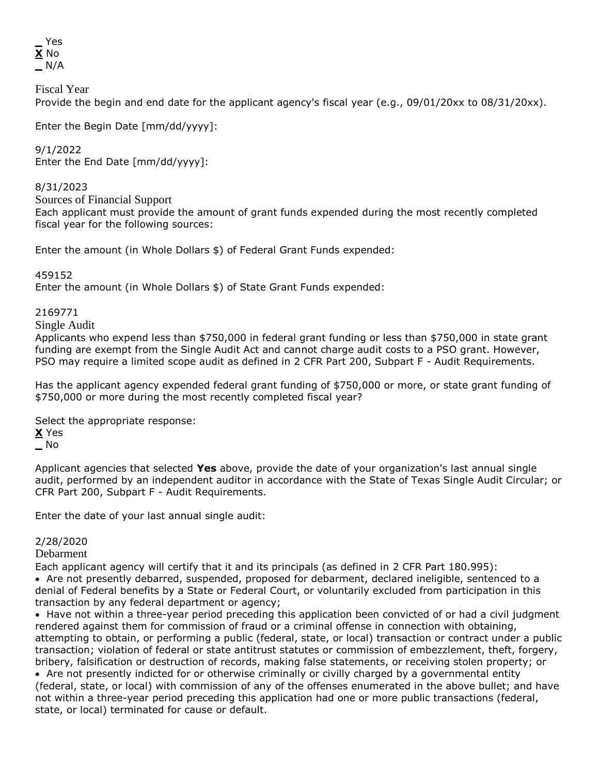**\_** Yes **X** No **\_** N/A

Fiscal Year

Provide the begin and end date for the applicant agency's fiscal year (e.g., 09/01/20xx to 08/31/20xx).

Enter the Begin Date [mm/dd/yyyy]:

9/1/2022

Enter the End Date [mm/dd/yyyy]:

8/31/2023

Sources of Financial Support

Each applicant must provide the amount of grant funds expended during the most recently completed fiscal year for the following sources:

Enter the amount (in Whole Dollars \$) of Federal Grant Funds expended:

459152

Enter the amount (in Whole Dollars \$) of State Grant Funds expended:

2169771

Single Audit

Applicants who expend less than \$750,000 in federal grant funding or less than \$750,000 in state grant funding are exempt from the Single Audit Act and cannot charge audit costs to a PSO grant. However, PSO may require a limited scope audit as defined in 2 CFR Part 200, Subpart F - Audit Requirements.

Has the applicant agency expended federal grant funding of \$750,000 or more, or state grant funding of \$750,000 or more during the most recently completed fiscal year?

Select the appropriate response:

**X** Yes

**\_** No

Applicant agencies that selected **Yes** above, provide the date of your organization's last annual single audit, performed by an independent auditor in accordance with the State of Texas Single Audit Circular; or CFR Part 200, Subpart F - Audit Requirements.

Enter the date of your last annual single audit:

#### 2/28/2020

Debarment

Each applicant agency will certify that it and its principals (as defined in 2 CFR Part 180.995): Are not presently debarred, suspended, proposed for debarment, declared ineligible, sentenced to a

denial of Federal benefits by a State or Federal Court, or voluntarily excluded from participation in this transaction by any federal department or agency;

• Have not within a three-year period preceding this application been convicted of or had a civil judgment rendered against them for commission of fraud or a criminal offense in connection with obtaining, attempting to obtain, or performing a public (federal, state, or local) transaction or contract under a public transaction; violation of federal or state antitrust statutes or commission of embezzlement, theft, forgery, bribery, falsification or destruction of records, making false statements, or receiving stolen property; or Are not presently indicted for or otherwise criminally or civilly charged by a governmental entity (federal, state, or local) with commission of any of the offenses enumerated in the above bullet; and have not within a three-year period preceding this application had one or more public transactions (federal, state, or local) terminated for cause or default.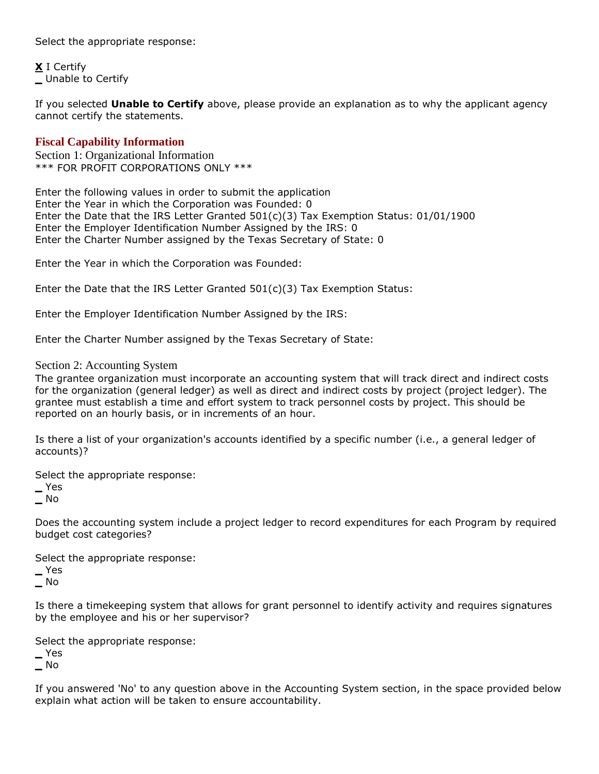Select the appropriate response:

**X** I Certify **\_** Unable to Certify

If you selected **Unable to Certify** above, please provide an explanation as to why the applicant agency cannot certify the statements.

### **Fiscal Capability Information**

Section 1: Organizational Information \*\*\* FOR PROFIT CORPORATIONS ONLY \*\*\*

Enter the following values in order to submit the application Enter the Year in which the Corporation was Founded: 0 Enter the Date that the IRS Letter Granted 501(c)(3) Tax Exemption Status: 01/01/1900 Enter the Employer Identification Number Assigned by the IRS: 0 Enter the Charter Number assigned by the Texas Secretary of State: 0

Enter the Year in which the Corporation was Founded:

Enter the Date that the IRS Letter Granted 501(c)(3) Tax Exemption Status:

Enter the Employer Identification Number Assigned by the IRS:

Enter the Charter Number assigned by the Texas Secretary of State:

#### Section 2: Accounting System

The grantee organization must incorporate an accounting system that will track direct and indirect costs for the organization (general ledger) as well as direct and indirect costs by project (project ledger). The grantee must establish a time and effort system to track personnel costs by project. This should be reported on an hourly basis, or in increments of an hour.

Is there a list of your organization's accounts identified by a specific number (i.e., a general ledger of accounts)?

Select the appropriate response:

**\_** Yes

**\_** No

Does the accounting system include a project ledger to record expenditures for each Program by required budget cost categories?

Select the appropriate response:

**\_** Yes **\_** No

Is there a timekeeping system that allows for grant personnel to identify activity and requires signatures by the employee and his or her supervisor?

Select the appropriate response:

**\_** Yes

**\_** No

If you answered 'No' to any question above in the Accounting System section, in the space provided below explain what action will be taken to ensure accountability.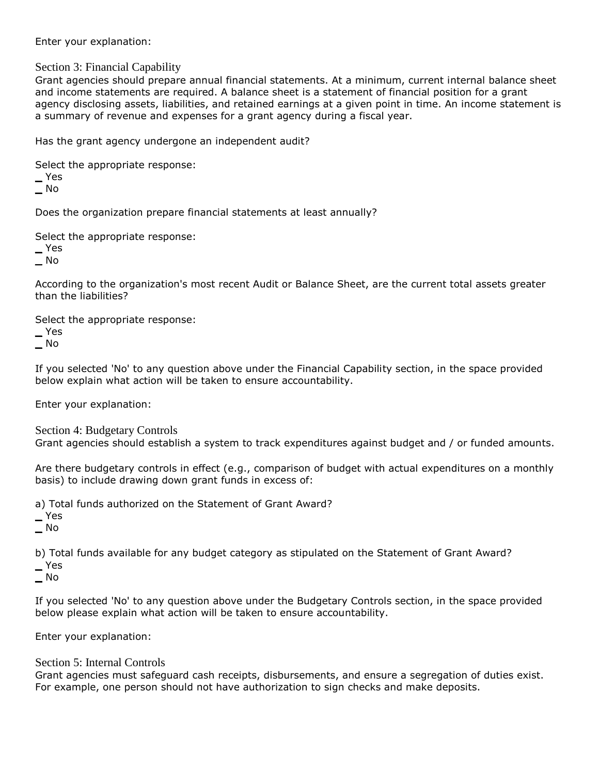Enter your explanation:

## Section 3: Financial Capability

Grant agencies should prepare annual financial statements. At a minimum, current internal balance sheet and income statements are required. A balance sheet is a statement of financial position for a grant agency disclosing assets, liabilities, and retained earnings at a given point in time. An income statement is a summary of revenue and expenses for a grant agency during a fiscal year.

Has the grant agency undergone an independent audit?

Select the appropriate response:

**\_** Yes

**\_** No

Does the organization prepare financial statements at least annually?

Select the appropriate response:

**\_** Yes

**\_** No

According to the organization's most recent Audit or Balance Sheet, are the current total assets greater than the liabilities?

Select the appropriate response:

**\_** Yes

**\_** No

If you selected 'No' to any question above under the Financial Capability section, in the space provided below explain what action will be taken to ensure accountability.

Enter your explanation:

Section 4: Budgetary Controls Grant agencies should establish a system to track expenditures against budget and / or funded amounts.

Are there budgetary controls in effect (e.g., comparison of budget with actual expenditures on a monthly basis) to include drawing down grant funds in excess of:

a) Total funds authorized on the Statement of Grant Award?

**\_** Yes

**\_** No

b) Total funds available for any budget category as stipulated on the Statement of Grant Award?

**\_** Yes

**\_** No

If you selected 'No' to any question above under the Budgetary Controls section, in the space provided below please explain what action will be taken to ensure accountability.

Enter your explanation:

## Section 5: Internal Controls

Grant agencies must safeguard cash receipts, disbursements, and ensure a segregation of duties exist. For example, one person should not have authorization to sign checks and make deposits.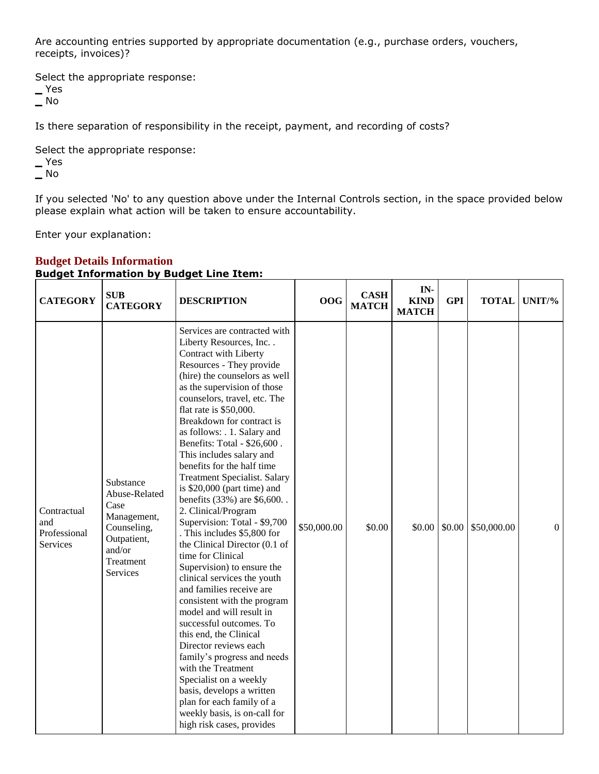Are accounting entries supported by appropriate documentation (e.g., purchase orders, vouchers, receipts, invoices)?

Select the appropriate response:

**\_** Yes **\_** No

Is there separation of responsibility in the receipt, payment, and recording of costs?

Select the appropriate response:

**\_** Yes

**\_** No

If you selected 'No' to any question above under the Internal Controls section, in the space provided below please explain what action will be taken to ensure accountability.

Enter your explanation:

| <b>CATEGORY</b>                                | <b>SUB</b><br><b>CATEGORY</b>                                                                                      | <b>DESCRIPTION</b>                                                                                                                                                                                                                                                                                                                                                                                                                                                                                                                                                                                                                                                                                                                                                                                                                                                                                                                                                                                                                                                                    | 00G         | <b>CASH</b><br><b>MATCH</b> | IN-<br><b>KIND</b><br><b>MATCH</b> | <b>GPI</b> | <b>TOTAL</b> | UNIT/%       |
|------------------------------------------------|--------------------------------------------------------------------------------------------------------------------|---------------------------------------------------------------------------------------------------------------------------------------------------------------------------------------------------------------------------------------------------------------------------------------------------------------------------------------------------------------------------------------------------------------------------------------------------------------------------------------------------------------------------------------------------------------------------------------------------------------------------------------------------------------------------------------------------------------------------------------------------------------------------------------------------------------------------------------------------------------------------------------------------------------------------------------------------------------------------------------------------------------------------------------------------------------------------------------|-------------|-----------------------------|------------------------------------|------------|--------------|--------------|
| Contractual<br>and<br>Professional<br>Services | Substance<br>Abuse-Related<br>Case<br>Management,<br>Counseling,<br>Outpatient,<br>and/or<br>Treatment<br>Services | Services are contracted with<br>Liberty Resources, Inc<br>Contract with Liberty<br>Resources - They provide<br>(hire) the counselors as well<br>as the supervision of those<br>counselors, travel, etc. The<br>flat rate is $$50,000$ .<br>Breakdown for contract is<br>as follows: . 1. Salary and<br>Benefits: Total - \$26,600.<br>This includes salary and<br>benefits for the half time<br><b>Treatment Specialist. Salary</b><br>is $$20,000$ (part time) and<br>benefits (33%) are \$6,600<br>2. Clinical/Program<br>Supervision: Total - \$9,700<br>. This includes \$5,800 for<br>the Clinical Director (0.1 of<br>time for Clinical<br>Supervision) to ensure the<br>clinical services the youth<br>and families receive are<br>consistent with the program<br>model and will result in<br>successful outcomes. To<br>this end, the Clinical<br>Director reviews each<br>family's progress and needs<br>with the Treatment<br>Specialist on a weekly<br>basis, develops a written<br>plan for each family of a<br>weekly basis, is on-call for<br>high risk cases, provides | \$50,000.00 | \$0.00                      | \$0.00                             | \$0.00     | \$50,000.00  | $\mathbf{0}$ |

### **Budget Details Information Budget Information by Budget Line Item:**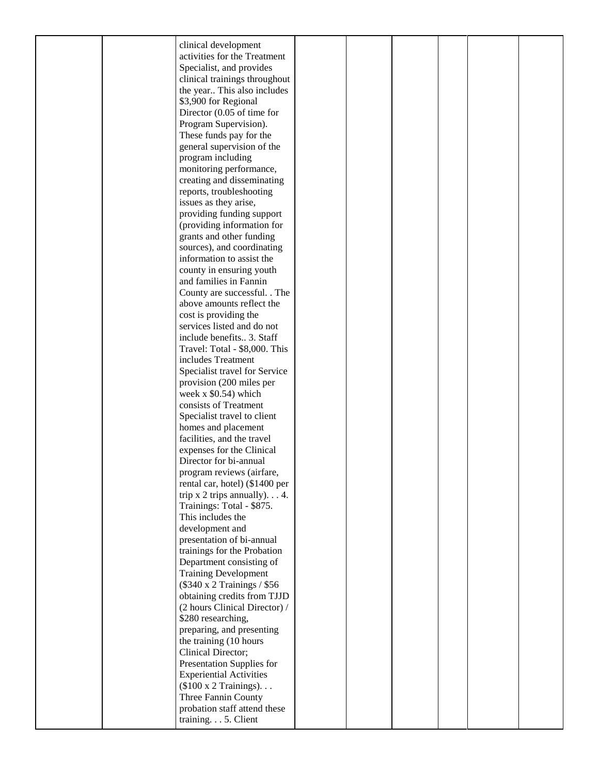|  | clinical development                    |  |  |  |
|--|-----------------------------------------|--|--|--|
|  | activities for the Treatment            |  |  |  |
|  | Specialist, and provides                |  |  |  |
|  |                                         |  |  |  |
|  | clinical trainings throughout           |  |  |  |
|  | the year This also includes             |  |  |  |
|  | \$3,900 for Regional                    |  |  |  |
|  | Director $(0.05$ of time for            |  |  |  |
|  |                                         |  |  |  |
|  | Program Supervision).                   |  |  |  |
|  | These funds pay for the                 |  |  |  |
|  | general supervision of the              |  |  |  |
|  | program including                       |  |  |  |
|  | monitoring performance,                 |  |  |  |
|  |                                         |  |  |  |
|  | creating and disseminating              |  |  |  |
|  | reports, troubleshooting                |  |  |  |
|  | issues as they arise,                   |  |  |  |
|  | providing funding support               |  |  |  |
|  |                                         |  |  |  |
|  | (providing information for              |  |  |  |
|  | grants and other funding                |  |  |  |
|  | sources), and coordinating              |  |  |  |
|  | information to assist the               |  |  |  |
|  | county in ensuring youth                |  |  |  |
|  |                                         |  |  |  |
|  | and families in Fannin                  |  |  |  |
|  | County are successful. . The            |  |  |  |
|  | above amounts reflect the               |  |  |  |
|  | cost is providing the                   |  |  |  |
|  | services listed and do not              |  |  |  |
|  |                                         |  |  |  |
|  | include benefits 3. Staff               |  |  |  |
|  | Travel: Total - \$8,000. This           |  |  |  |
|  | includes Treatment                      |  |  |  |
|  | Specialist travel for Service           |  |  |  |
|  | provision (200 miles per                |  |  |  |
|  |                                         |  |  |  |
|  | week $x$ \$0.54) which                  |  |  |  |
|  | consists of Treatment                   |  |  |  |
|  | Specialist travel to client             |  |  |  |
|  | homes and placement                     |  |  |  |
|  | facilities, and the travel              |  |  |  |
|  |                                         |  |  |  |
|  | expenses for the Clinical               |  |  |  |
|  | Director for bi-annual                  |  |  |  |
|  | program reviews (airfare,               |  |  |  |
|  | rental car, hotel) (\$1400 per          |  |  |  |
|  | trip $x$ 2 trips annually). $\ldots$ 4. |  |  |  |
|  |                                         |  |  |  |
|  | Trainings: Total - \$875.               |  |  |  |
|  | This includes the                       |  |  |  |
|  | development and                         |  |  |  |
|  | presentation of bi-annual               |  |  |  |
|  | trainings for the Probation             |  |  |  |
|  |                                         |  |  |  |
|  | Department consisting of                |  |  |  |
|  | <b>Training Development</b>             |  |  |  |
|  | (\$340 x 2 Trainings / \$56             |  |  |  |
|  | obtaining credits from TJJD             |  |  |  |
|  | (2 hours Clinical Director) /           |  |  |  |
|  |                                         |  |  |  |
|  | \$280 researching,                      |  |  |  |
|  | preparing, and presenting               |  |  |  |
|  | the training (10 hours                  |  |  |  |
|  | Clinical Director;                      |  |  |  |
|  |                                         |  |  |  |
|  | Presentation Supplies for               |  |  |  |
|  | <b>Experiential Activities</b>          |  |  |  |
|  | $(\$100 \times 2$ Trainings)            |  |  |  |
|  | Three Fannin County                     |  |  |  |
|  | probation staff attend these            |  |  |  |
|  | training. 5. Client                     |  |  |  |
|  |                                         |  |  |  |